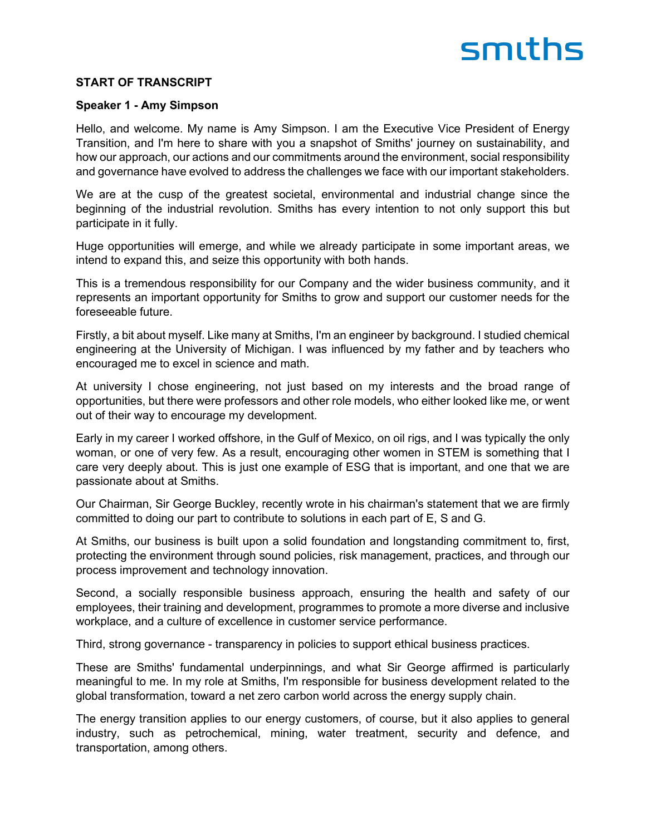# smiths

#### **START OF TRANSCRIPT**

#### **Speaker 1 - Amy Simpson**

Hello, and welcome. My name is Amy Simpson. I am the Executive Vice President of Energy Transition, and I'm here to share with you a snapshot of Smiths' journey on sustainability, and how our approach, our actions and our commitments around the environment, social responsibility and governance have evolved to address the challenges we face with our important stakeholders.

We are at the cusp of the greatest societal, environmental and industrial change since the beginning of the industrial revolution. Smiths has every intention to not only support this but participate in it fully.

Huge opportunities will emerge, and while we already participate in some important areas, we intend to expand this, and seize this opportunity with both hands.

This is a tremendous responsibility for our Company and the wider business community, and it represents an important opportunity for Smiths to grow and support our customer needs for the foreseeable future.

Firstly, a bit about myself. Like many at Smiths, I'm an engineer by background. I studied chemical engineering at the University of Michigan. I was influenced by my father and by teachers who encouraged me to excel in science and math.

At university I chose engineering, not just based on my interests and the broad range of opportunities, but there were professors and other role models, who either looked like me, or went out of their way to encourage my development.

Early in my career I worked offshore, in the Gulf of Mexico, on oil rigs, and I was typically the only woman, or one of very few. As a result, encouraging other women in STEM is something that I care very deeply about. This is just one example of ESG that is important, and one that we are passionate about at Smiths.

Our Chairman, Sir George Buckley, recently wrote in his chairman's statement that we are firmly committed to doing our part to contribute to solutions in each part of E, S and G.

At Smiths, our business is built upon a solid foundation and longstanding commitment to, first, protecting the environment through sound policies, risk management, practices, and through our process improvement and technology innovation.

Second, a socially responsible business approach, ensuring the health and safety of our employees, their training and development, programmes to promote a more diverse and inclusive workplace, and a culture of excellence in customer service performance.

Third, strong governance - transparency in policies to support ethical business practices.

These are Smiths' fundamental underpinnings, and what Sir George affirmed is particularly meaningful to me. In my role at Smiths, I'm responsible for business development related to the global transformation, toward a net zero carbon world across the energy supply chain.

The energy transition applies to our energy customers, of course, but it also applies to general industry, such as petrochemical, mining, water treatment, security and defence, and transportation, among others.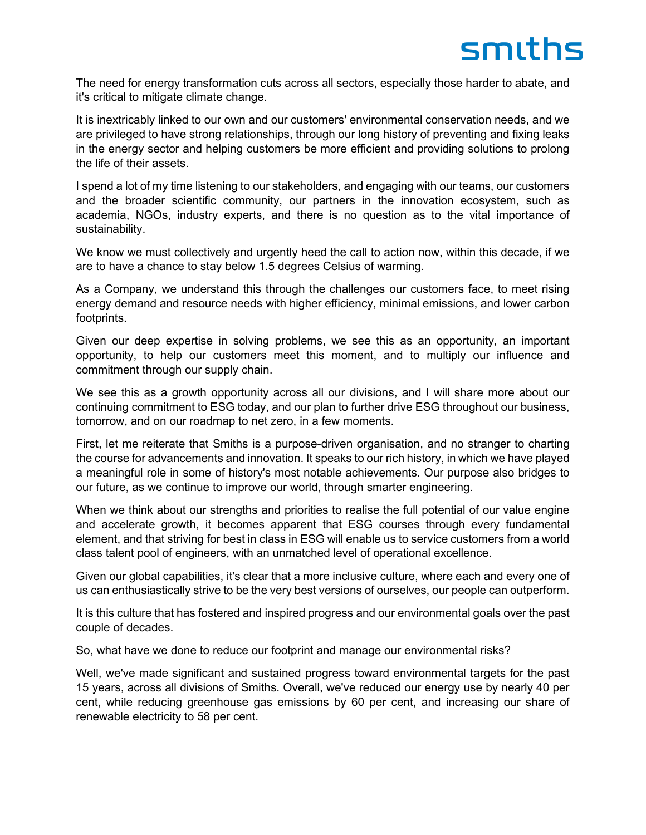The need for energy transformation cuts across all sectors, especially those harder to abate, and it's critical to mitigate climate change.

It is inextricably linked to our own and our customers' environmental conservation needs, and we are privileged to have strong relationships, through our long history of preventing and fixing leaks in the energy sector and helping customers be more efficient and providing solutions to prolong the life of their assets.

I spend a lot of my time listening to our stakeholders, and engaging with our teams, our customers and the broader scientific community, our partners in the innovation ecosystem, such as academia, NGOs, industry experts, and there is no question as to the vital importance of sustainability.

We know we must collectively and urgently heed the call to action now, within this decade, if we are to have a chance to stay below 1.5 degrees Celsius of warming.

As a Company, we understand this through the challenges our customers face, to meet rising energy demand and resource needs with higher efficiency, minimal emissions, and lower carbon footprints.

Given our deep expertise in solving problems, we see this as an opportunity, an important opportunity, to help our customers meet this moment, and to multiply our influence and commitment through our supply chain.

We see this as a growth opportunity across all our divisions, and I will share more about our continuing commitment to ESG today, and our plan to further drive ESG throughout our business, tomorrow, and on our roadmap to net zero, in a few moments.

First, let me reiterate that Smiths is a purpose-driven organisation, and no stranger to charting the course for advancements and innovation. It speaks to our rich history, in which we have played a meaningful role in some of history's most notable achievements. Our purpose also bridges to our future, as we continue to improve our world, through smarter engineering.

When we think about our strengths and priorities to realise the full potential of our value engine and accelerate growth, it becomes apparent that ESG courses through every fundamental element, and that striving for best in class in ESG will enable us to service customers from a world class talent pool of engineers, with an unmatched level of operational excellence.

Given our global capabilities, it's clear that a more inclusive culture, where each and every one of us can enthusiastically strive to be the very best versions of ourselves, our people can outperform.

It is this culture that has fostered and inspired progress and our environmental goals over the past couple of decades.

So, what have we done to reduce our footprint and manage our environmental risks?

Well, we've made significant and sustained progress toward environmental targets for the past 15 years, across all divisions of Smiths. Overall, we've reduced our energy use by nearly 40 per cent, while reducing greenhouse gas emissions by 60 per cent, and increasing our share of renewable electricity to 58 per cent.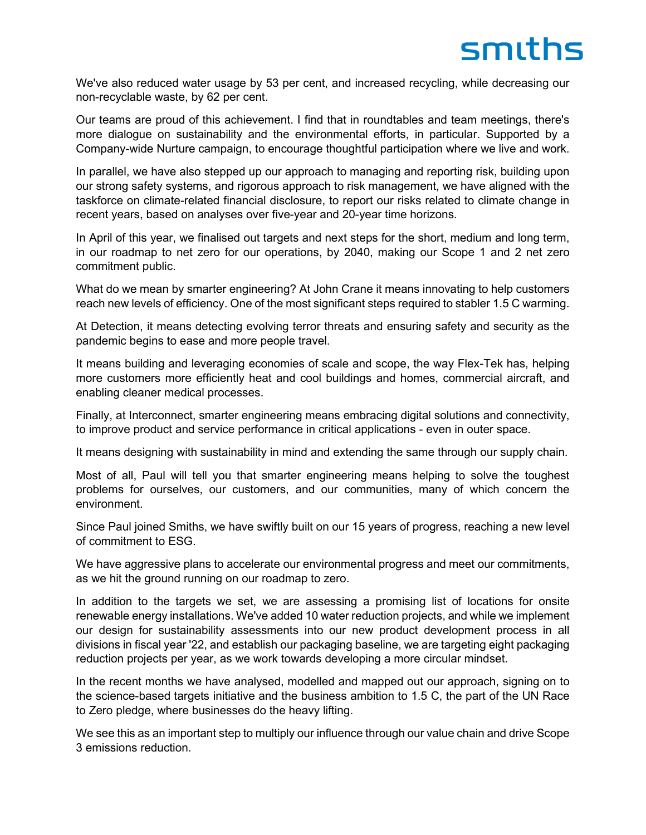We've also reduced water usage by 53 per cent, and increased recycling, while decreasing our non-recyclable waste, by 62 per cent.

Our teams are proud of this achievement. I find that in roundtables and team meetings, there's more dialogue on sustainability and the environmental efforts, in particular. Supported by a Company-wide Nurture campaign, to encourage thoughtful participation where we live and work.

In parallel, we have also stepped up our approach to managing and reporting risk, building upon our strong safety systems, and rigorous approach to risk management, we have aligned with the taskforce on climate-related financial disclosure, to report our risks related to climate change in recent years, based on analyses over five-year and 20-year time horizons.

In April of this year, we finalised out targets and next steps for the short, medium and long term, in our roadmap to net zero for our operations, by 2040, making our Scope 1 and 2 net zero commitment public.

What do we mean by smarter engineering? At John Crane it means innovating to help customers reach new levels of efficiency. One of the most significant steps required to stabler 1.5 C warming.

At Detection, it means detecting evolving terror threats and ensuring safety and security as the pandemic begins to ease and more people travel.

It means building and leveraging economies of scale and scope, the way Flex-Tek has, helping more customers more efficiently heat and cool buildings and homes, commercial aircraft, and enabling cleaner medical processes.

Finally, at Interconnect, smarter engineering means embracing digital solutions and connectivity, to improve product and service performance in critical applications - even in outer space.

It means designing with sustainability in mind and extending the same through our supply chain.

Most of all, Paul will tell you that smarter engineering means helping to solve the toughest problems for ourselves, our customers, and our communities, many of which concern the environment.

Since Paul joined Smiths, we have swiftly built on our 15 years of progress, reaching a new level of commitment to ESG.

We have aggressive plans to accelerate our environmental progress and meet our commitments, as we hit the ground running on our roadmap to zero.

In addition to the targets we set, we are assessing a promising list of locations for onsite renewable energy installations. We've added 10 water reduction projects, and while we implement our design for sustainability assessments into our new product development process in all divisions in fiscal year '22, and establish our packaging baseline, we are targeting eight packaging reduction projects per year, as we work towards developing a more circular mindset.

In the recent months we have analysed, modelled and mapped out our approach, signing on to the science-based targets initiative and the business ambition to 1.5 C, the part of the UN Race to Zero pledge, where businesses do the heavy lifting.

We see this as an important step to multiply our influence through our value chain and drive Scope 3 emissions reduction.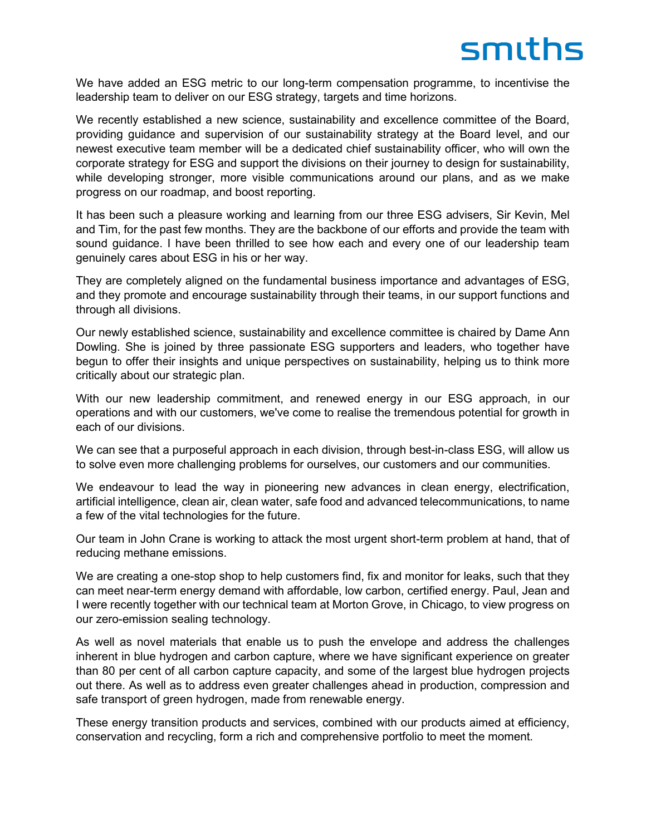## smiths

We have added an ESG metric to our long-term compensation programme, to incentivise the leadership team to deliver on our ESG strategy, targets and time horizons.

We recently established a new science, sustainability and excellence committee of the Board, providing guidance and supervision of our sustainability strategy at the Board level, and our newest executive team member will be a dedicated chief sustainability officer, who will own the corporate strategy for ESG and support the divisions on their journey to design for sustainability, while developing stronger, more visible communications around our plans, and as we make progress on our roadmap, and boost reporting.

It has been such a pleasure working and learning from our three ESG advisers, Sir Kevin, Mel and Tim, for the past few months. They are the backbone of our efforts and provide the team with sound guidance. I have been thrilled to see how each and every one of our leadership team genuinely cares about ESG in his or her way.

They are completely aligned on the fundamental business importance and advantages of ESG, and they promote and encourage sustainability through their teams, in our support functions and through all divisions.

Our newly established science, sustainability and excellence committee is chaired by Dame Ann Dowling. She is joined by three passionate ESG supporters and leaders, who together have begun to offer their insights and unique perspectives on sustainability, helping us to think more critically about our strategic plan.

With our new leadership commitment, and renewed energy in our ESG approach, in our operations and with our customers, we've come to realise the tremendous potential for growth in each of our divisions.

We can see that a purposeful approach in each division, through best-in-class ESG, will allow us to solve even more challenging problems for ourselves, our customers and our communities.

We endeavour to lead the way in pioneering new advances in clean energy, electrification, artificial intelligence, clean air, clean water, safe food and advanced telecommunications, to name a few of the vital technologies for the future.

Our team in John Crane is working to attack the most urgent short-term problem at hand, that of reducing methane emissions.

We are creating a one-stop shop to help customers find, fix and monitor for leaks, such that they can meet near-term energy demand with affordable, low carbon, certified energy. Paul, Jean and I were recently together with our technical team at Morton Grove, in Chicago, to view progress on our zero-emission sealing technology.

As well as novel materials that enable us to push the envelope and address the challenges inherent in blue hydrogen and carbon capture, where we have significant experience on greater than 80 per cent of all carbon capture capacity, and some of the largest blue hydrogen projects out there. As well as to address even greater challenges ahead in production, compression and safe transport of green hydrogen, made from renewable energy.

These energy transition products and services, combined with our products aimed at efficiency, conservation and recycling, form a rich and comprehensive portfolio to meet the moment.